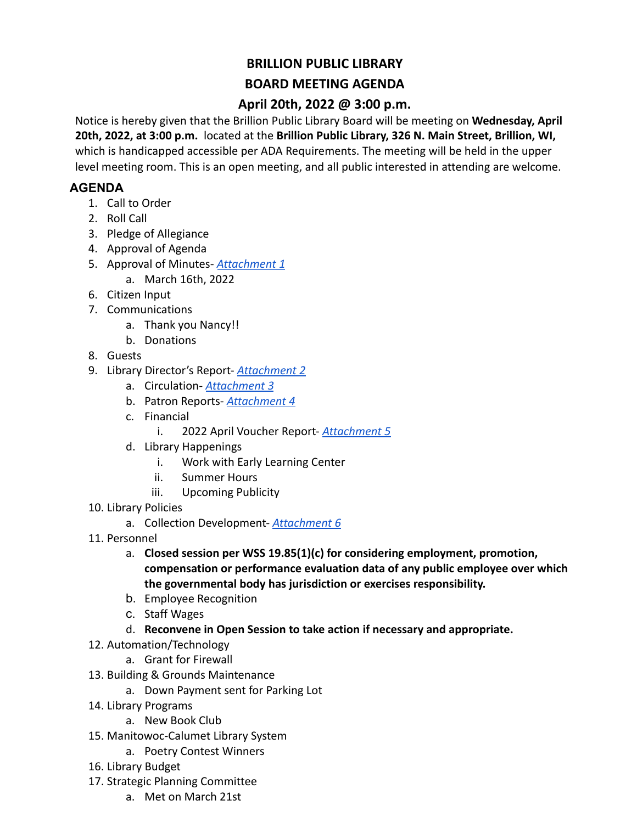## **BRILLION PUBLIC LIBRARY**

## **BOARD MEETING AGENDA**

## **April 20th, 2022 @ 3:00 p.m.**

Notice is hereby given that the Brillion Public Library Board will be meeting on **Wednesday, April 20th, 2022, at 3:00 p.m.** located at the **Brillion Public Library, 326 N. Main Street, Brillion, WI,** which is handicapped accessible per ADA Requirements. The meeting will be held in the upper level meeting room. This is an open meeting, and all public interested in attending are welcome.

## **AGENDA**

- 1. Call to Order
- 2. Roll Call
- 3. Pledge of Allegiance
- 4. Approval of Agenda
- 5. Approval of Minutes- *[Attachment 1](https://docs.google.com/document/d/1ul0_YRf8mkyYySOVbHnSgjUbvomn_T8nNV2F95vWBas/edit?usp=sharing)*
	- a. March 16th, 2022
- 6. Citizen Input
- 7. Communications
	- a. Thank you Nancy!!
	- b. Donations
- 8. Guests
- 9. Library Director's Report- *[Attachment 2](https://docs.google.com/document/d/1faWB2TGcncvOYr9PeMkHfwsCwRoUaRjJLDVxv9gLw44/edit?usp=sharing)*
	- a. Circulation- *[Attachment 3](https://docs.google.com/spreadsheets/d/1jjTjCkV-dI0IvWrNYBya7vVlI4jjaO6fh3p8_uPvLO4/edit?usp=sharing)*
	- b. Patron Reports- *[Attachment 4](https://docs.google.com/spreadsheets/d/1cLa_vmrAbn0mFopofssqSUbxiTq_tJLayYeoSJThha4/edit?usp=sharing)*
	- c. Financial
		- i. 2022 April Voucher Report- *[Attachment 5](https://docs.google.com/spreadsheets/d/18WCl2-X-mah5y_EfWh_XIrwDSo66qNak/edit?usp=sharing&ouid=102122544076415523212&rtpof=true&sd=true)*
	- d. Library Happenings
		- i. Work with Early Learning Center
		- ii. Summer Hours
		- iii. Upcoming Publicity
- 10. Library Policies
	- a. Collection Development- *[Attachment 6](https://docs.google.com/document/d/1bfWfpyGo1JnBHqwZ7ypf9p7suM29GMIe_4CdRAvJW4A/edit?usp=sharing)*
- 11. Personnel
	- a. **Closed session per WSS 19.85(1)(c) for considering employment, promotion, compensation or performance evaluation data of any public employee over which the governmental body has jurisdiction or exercises responsibility.**
	- b. Employee Recognition
	- c. Staff Wages
	- d. **Reconvene in Open Session to take action if necessary and appropriate.**
- 12. Automation/Technology
	- a. Grant for Firewall
- 13. Building & Grounds Maintenance
	- a. Down Payment sent for Parking Lot
- 14. Library Programs
	- a. New Book Club
- 15. Manitowoc-Calumet Library System
	- a. Poetry Contest Winners
- 16. Library Budget
- 17. Strategic Planning Committee
	- a. Met on March 21st